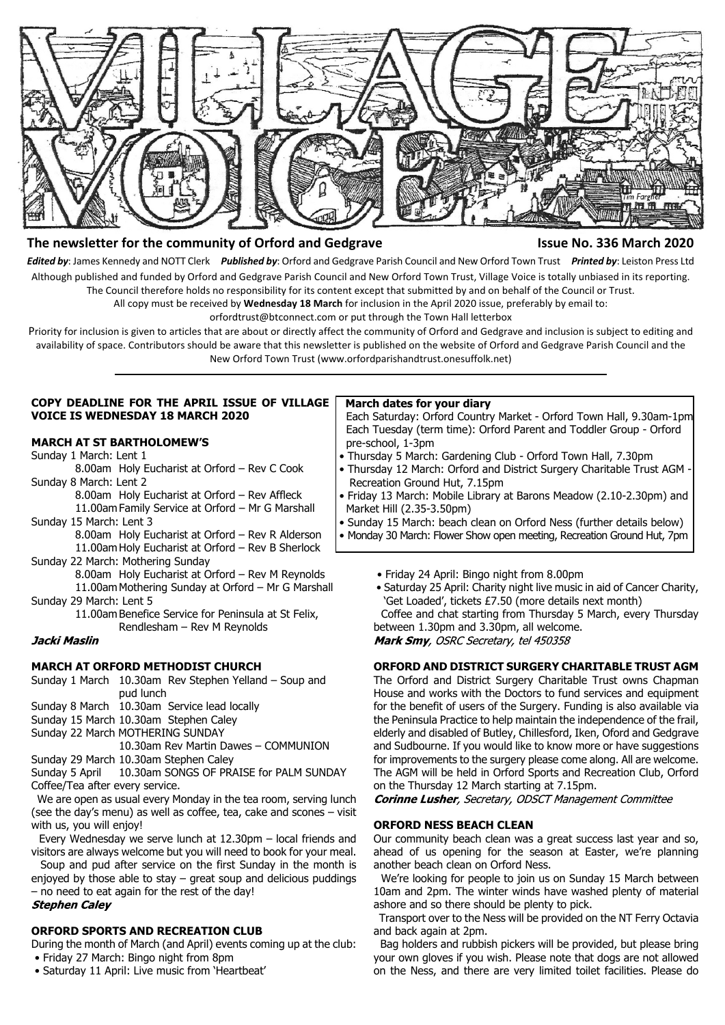

## **The newsletter for the community of Orford and Gedgrave Issue No. 336 March 2020**

*Edited by*: James Kennedy and NOTT Clerk *Published by*: Orford and Gedgrave Parish Council and New Orford Town Trust *Printed by*: Leiston Press Ltd Although published and funded by Orford and Gedgrave Parish Council and New Orford Town Trust, Village Voice is totally unbiased in its reporting. The Council therefore holds no responsibility for its content except that submitted by and on behalf of the Council or Trust.

All copy must be received by **Wednesday 18 March** for inclusion in the April 2020 issue, preferably by email to:

orfordtrust@btconnect.com or put through the Town Hall letterbox

Priority for inclusion is given to articles that are about or directly affect the community of Orford and Gedgrave and inclusion is subject to editing and availability of space. Contributors should be aware that this newsletter is published on the website of Orford and Gedgrave Parish Council and the New Orford Town Trust (www.orfordparishandtrust.onesuffolk.net)

### **COPY DEADLINE FOR THE APRIL ISSUE OF VILLAGE VOICE IS WEDNESDAY 18 MARCH 2020**

### **MARCH AT ST BARTHOLOMEW'S**

Sunday 1 March: Lent 1

8.00am Holy Eucharist at Orford – Rev C Cook Sunday 8 March: Lent 2

8.00am Holy Eucharist at Orford – Rev Affleck 11.00am Family Service at Orford – Mr G Marshall

Sunday 15 March: Lent 3

8.00am Holy Eucharist at Orford – Rev R Alderson 11.00am Holy Eucharist at Orford – Rev B Sherlock

Sunday 22 March: Mothering Sunday

8.00am Holy Eucharist at Orford – Rev M Reynolds 11.00am Mothering Sunday at Orford – Mr G Marshall

Sunday 29 March: Lent 5

11.00am Benefice Service for Peninsula at St Felix, Rendlesham – Rev M Reynolds

## Jacki Maslin

## **MARCH AT ORFORD METHODIST CHURCH**

Sunday 1 March 10.30am Rev Stephen Yelland – Soup and pud lunch

Sunday 8 March 10.30am Service lead locally

Sunday 15 March 10.30am Stephen Caley

Sunday 22 March MOTHERING SUNDAY

10.30am Rev Martin Dawes – COMMUNION

Sunday 29 March 10.30am Stephen Caley

Sunday 5 April 10.30am SONGS OF PRAISE for PALM SUNDAY Coffee/Tea after every service.

 We are open as usual every Monday in the tea room, serving lunch (see the day's menu) as well as coffee, tea, cake and scones – visit with us, you will enjoy!

 Every Wednesday we serve lunch at 12.30pm – local friends and visitors are always welcome but you will need to book for your meal.

 Soup and pud after service on the first Sunday in the month is enjoyed by those able to stay  $-$  great soup and delicious puddings – no need to eat again for the rest of the day!

## **Stephen Caley**

## **ORFORD SPORTS AND RECREATION CLUB**

During the month of March (and April) events coming up at the club: • Friday 27 March: Bingo night from 8pm

• Saturday 11 April: Live music from 'Heartbeat'

## **March dates for your diary**

 Each Saturday: Orford Country Market - Orford Town Hall, 9.30am-1pm Each Tuesday (term time): Orford Parent and Toddler Group - Orford pre-school, 1-3pm

- Thursday 5 March: Gardening Club Orford Town Hall, 7.30pm
- Thursday 12 March: Orford and District Surgery Charitable Trust AGM Recreation Ground Hut, 7.15pm
- Friday 13 March: Mobile Library at Barons Meadow (2.10-2.30pm) and Market Hill (2.35-3.50pm)
- Sunday 15 March: beach clean on Orford Ness (further details below) • Monday 30 March: Flower Show open meeting, Recreation Ground Hut, 7pm
	- Friday 24 April: Bingo night from 8.00pm
	- Saturday 25 April: Charity night live music in aid of Cancer Charity, 'Get Loaded', tickets £7.50 (more details next month)

 Coffee and chat starting from Thursday 5 March, every Thursday between 1.30pm and 3.30pm, all welcome.

Mark Smy, OSRC Secretary, tel 450358

## **ORFORD AND DISTRICT SURGERY CHARITABLE TRUST AGM**

The Orford and District Surgery Charitable Trust owns Chapman House and works with the Doctors to fund services and equipment for the benefit of users of the Surgery. Funding is also available via the Peninsula Practice to help maintain the independence of the frail, elderly and disabled of Butley, Chillesford, Iken, Oford and Gedgrave and Sudbourne. If you would like to know more or have suggestions for improvements to the surgery please come along. All are welcome. The AGM will be held in Orford Sports and Recreation Club, Orford on the Thursday 12 March starting at 7.15pm.

**Corinne Lusher**, Secretary, ODSCT Management Committee

## **ORFORD NESS BEACH CLEAN**

Our community beach clean was a great success last year and so, ahead of us opening for the season at Easter, we're planning another beach clean on Orford Ness.

 We're looking for people to join us on Sunday 15 March between 10am and 2pm. The winter winds have washed plenty of material ashore and so there should be plenty to pick.

 Transport over to the Ness will be provided on the NT Ferry Octavia and back again at 2pm.

 Bag holders and rubbish pickers will be provided, but please bring your own gloves if you wish. Please note that dogs are not allowed on the Ness, and there are very limited toilet facilities. Please do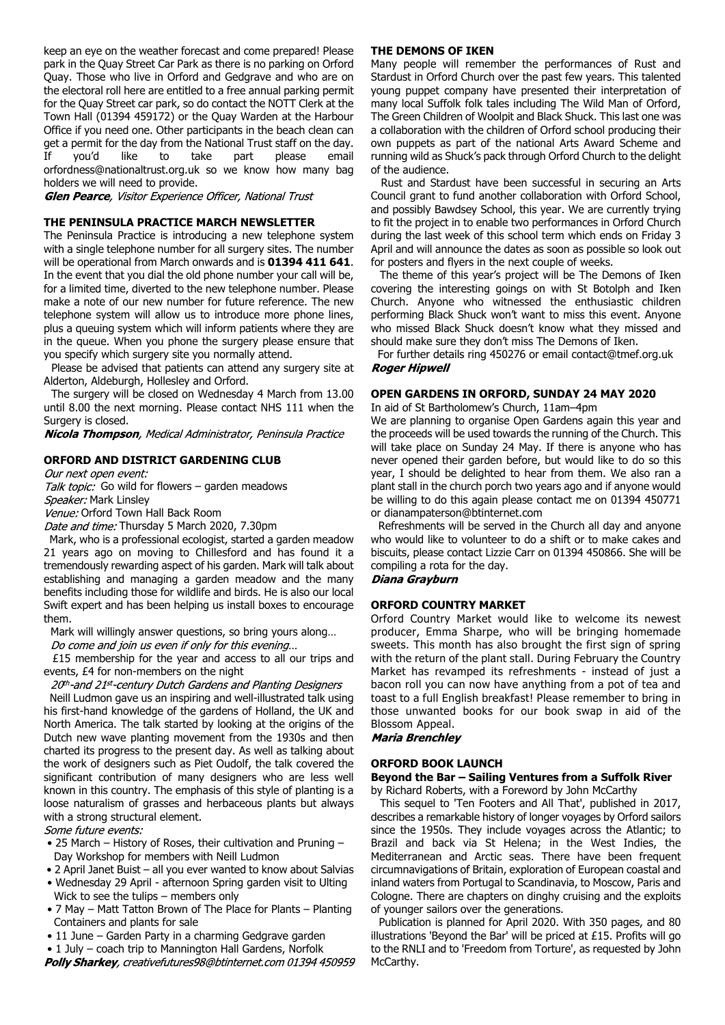keep an eye on the weather forecast and come prepared! Please park in the Quay Street Car Park as there is no parking on Orford Quay. Those who live in Orford and Gedgrave and who are on the electoral roll here are entitled to a free annual parking permit for the Quay Street car park, so do contact the NOTT Clerk at the Town Hall (01394 459172) or the Quay Warden at the Harbour Office if you need one. Other participants in the beach clean can get a permit for the day from the National Trust staff on the day. If you'd like to take part please email orfordness@nationaltrust.org.uk so we know how many bag holders we will need to provide.

Glen Pearce, Visitor Experience Officer, National Trust

## **THE PENINSULA PRACTICE MARCH NEWSLETTER**

The Peninsula Practice is introducing a new telephone system with a single telephone number for all surgery sites. The number will be operational from March onwards and is **01394 411 641**. In the event that you dial the old phone number your call will be, for a limited time, diverted to the new telephone number. Please make a note of our new number for future reference. The new telephone system will allow us to introduce more phone lines, plus a queuing system which will inform patients where they are in the queue. When you phone the surgery please ensure that you specify which surgery site you normally attend.

 Please be advised that patients can attend any surgery site at Alderton, Aldeburgh, Hollesley and Orford.

 The surgery will be closed on Wednesday 4 March from 13.00 until 8.00 the next morning. Please contact NHS 111 when the Surgery is closed.

Nicola Thompson, Medical Administrator, Peninsula Practice

## **ORFORD AND DISTRICT GARDENING CLUB**

Our next open event:

Talk topic: Go wild for flowers – garden meadows Speaker: Mark Linsley

Venue: Orford Town Hall Back Room

Date and time: Thursday 5 March 2020, 7.30pm

 Mark, who is a professional ecologist, started a garden meadow 21 years ago on moving to Chillesford and has found it a tremendously rewarding aspect of his garden. Mark will talk about establishing and managing a garden meadow and the many benefits including those for wildlife and birds. He is also our local Swift expert and has been helping us install boxes to encourage them.

Mark will willingly answer questions, so bring yours along…

Do come and join us even if only for this evening...

 £15 membership for the year and access to all our trips and events, £4 for non-members on the night

20th-and 21st-century Dutch Gardens and Planting Designers Neill Ludmon gave us an inspiring and well-illustrated talk using his first-hand knowledge of the gardens of Holland, the UK and North America. The talk started by looking at the origins of the Dutch new wave planting movement from the 1930s and then charted its progress to the present day. As well as talking about the work of designers such as Piet Oudolf, the talk covered the significant contribution of many designers who are less well known in this country. The emphasis of this style of planting is a loose naturalism of grasses and herbaceous plants but always with a strong structural element.

Some future events:

- 25 March History of Roses, their cultivation and Pruning Day Workshop for members with Neill Ludmon
- 2 April Janet Buist all you ever wanted to know about Salvias
- Wednesday 29 April afternoon Spring garden visit to Ulting Wick to see the tulips – members only
- 7 May Matt Tatton Brown of The Place for Plants Planting Containers and plants for sale
- 11 June Garden Party in a charming Gedgrave garden
- 1 July coach trip to Mannington Hall Gardens, Norfolk

Polly Sharkey, creativefutures98@btinternet.com 01394 450959

## **THE DEMONS OF IKEN**

Many people will remember the performances of Rust and Stardust in Orford Church over the past few years. This talented young puppet company have presented their interpretation of many local Suffolk folk tales including The Wild Man of Orford, The Green Children of Woolpit and Black Shuck. This last one was a collaboration with the children of Orford school producing their own puppets as part of the national Arts Award Scheme and running wild as Shuck's pack through Orford Church to the delight of the audience.

 Rust and Stardust have been successful in securing an Arts Council grant to fund another collaboration with Orford School, and possibly Bawdsey School, this year. We are currently trying to fit the project in to enable two performances in Orford Church during the last week of this school term which ends on Friday 3 April and will announce the dates as soon as possible so look out for posters and flyers in the next couple of weeks.

 The theme of this year's project will be The Demons of Iken covering the interesting goings on with St Botolph and Iken Church. Anyone who witnessed the enthusiastic children performing Black Shuck won't want to miss this event. Anyone who missed Black Shuck doesn't know what they missed and should make sure they don't miss The Demons of Iken.

 For further details ring 450276 or email contact@tmef.org.uk **Roger Hipwell** 

## **OPEN GARDENS IN ORFORD, SUNDAY 24 MAY 2020**

In aid of St Bartholomew's Church, 11am–4pm

We are planning to organise Open Gardens again this year and the proceeds will be used towards the running of the Church. This will take place on Sunday 24 May. If there is anyone who has never opened their garden before, but would like to do so this year, I should be delighted to hear from them. We also ran a plant stall in the church porch two years ago and if anyone would be willing to do this again please contact me on 01394 450771 or dianampaterson@btinternet.com

 Refreshments will be served in the Church all day and anyone who would like to volunteer to do a shift or to make cakes and biscuits, please contact Lizzie Carr on 01394 450866. She will be compiling a rota for the day.

## Diana Grayburn

## **ORFORD COUNTRY MARKET**

Orford Country Market would like to welcome its newest producer, Emma Sharpe, who will be bringing homemade sweets. This month has also brought the first sign of spring with the return of the plant stall. During February the Country Market has revamped its refreshments - instead of just a bacon roll you can now have anything from a pot of tea and toast to a full English breakfast! Please remember to bring in those unwanted books for our book swap in aid of the Blossom Appeal.

**Maria Brenchley** 

### **ORFORD BOOK LAUNCH**

**Beyond the Bar – Sailing Ventures from a Suffolk River** by Richard Roberts, with a Foreword by John McCarthy

 This sequel to 'Ten Footers and All That', published in 2017, describes a remarkable history of longer voyages by Orford sailors since the 1950s. They include voyages across the Atlantic; to Brazil and back via St Helena; in the West Indies, the Mediterranean and Arctic seas. There have been frequent circumnavigations of Britain, exploration of European coastal and inland waters from Portugal to Scandinavia, to Moscow, Paris and Cologne. There are chapters on dinghy cruising and the exploits of younger sailors over the generations.

 Publication is planned for April 2020. With 350 pages, and 80 illustrations 'Beyond the Bar' will be priced at £15. Profits will go to the RNLI and to 'Freedom from Torture', as requested by John McCarthy.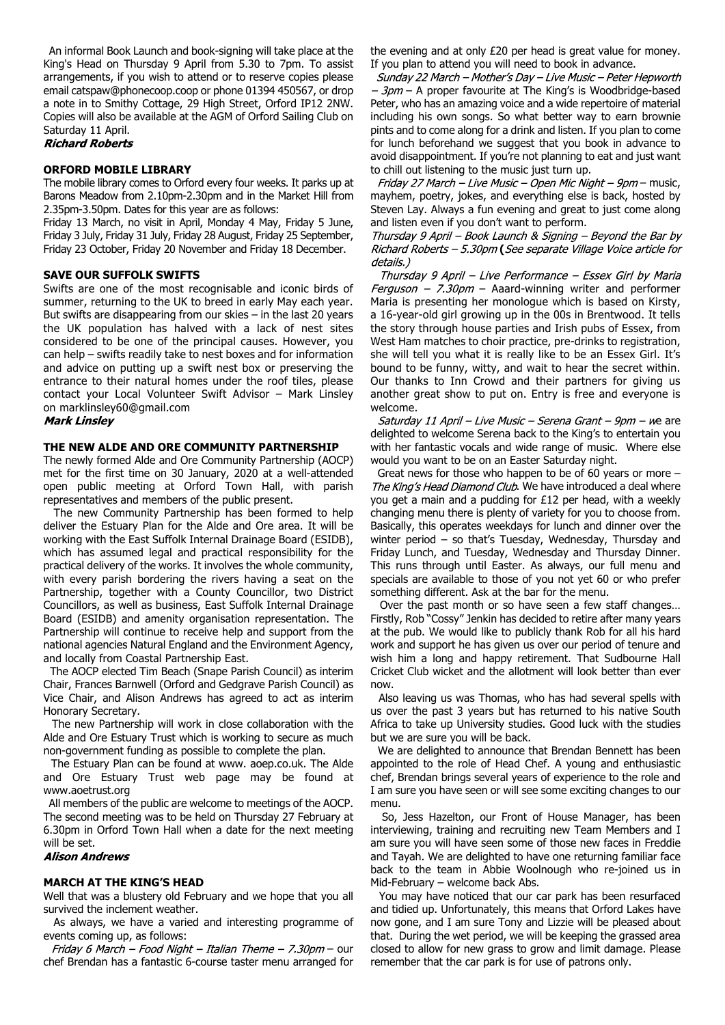An informal Book Launch and book-signing will take place at the King's Head on Thursday 9 April from 5.30 to 7pm. To assist arrangements, if you wish to attend or to reserve copies please email catspaw@phonecoop.coop or phone 01394 450567, or drop a note in to Smithy Cottage, 29 High Street, Orford IP12 2NW. Copies will also be available at the AGM of Orford Sailing Club on Saturday 11 April.

#### **Richard Roberts**

#### **ORFORD MOBILE LIBRARY**

The mobile library comes to Orford every four weeks. It parks up at Barons Meadow from 2.10pm-2.30pm and in the Market Hill from 2.35pm-3.50pm. Dates for this year are as follows:

Friday 13 March, no visit in April, Monday 4 May, Friday 5 June, Friday 3 July, Friday 31 July, Friday 28 August, Friday 25 September, Friday 23 October, Friday 20 November and Friday 18 December.

### **SAVE OUR SUFFOLK SWIFTS**

Swifts are one of the most recognisable and iconic birds of summer, returning to the UK to breed in early May each year. But swifts are disappearing from our skies – in the last 20 years the UK population has halved with a lack of nest sites considered to be one of the principal causes. However, you can help – swifts readily take to nest boxes and for information and advice on putting up a swift nest box or preserving the entrance to their natural homes under the roof tiles, please contact your Local Volunteer Swift Advisor – Mark Linsley on marklinsley60@gmail.com

### **Mark Linsley**

#### **THE NEW ALDE AND ORE COMMUNITY PARTNERSHIP**

The newly formed Alde and Ore Community Partnership (AOCP) met for the first time on 30 January, 2020 at a well-attended open public meeting at Orford Town Hall, with parish representatives and members of the public present.

 The new Community Partnership has been formed to help deliver the Estuary Plan for the Alde and Ore area. It will be working with the East Suffolk Internal Drainage Board (ESIDB), which has assumed legal and practical responsibility for the practical delivery of the works. It involves the whole community, with every parish bordering the rivers having a seat on the Partnership, together with a County Councillor, two District Councillors, as well as business, East Suffolk Internal Drainage Board (ESIDB) and amenity organisation representation. The Partnership will continue to receive help and support from the national agencies Natural England and the Environment Agency, and locally from Coastal Partnership East.

 The AOCP elected Tim Beach (Snape Parish Council) as interim Chair, Frances Barnwell (Orford and Gedgrave Parish Council) as Vice Chair, and Alison Andrews has agreed to act as interim Honorary Secretary.

 The new Partnership will work in close collaboration with the Alde and Ore Estuary Trust which is working to secure as much non-government funding as possible to complete the plan.

 The Estuary Plan can be found at www. aoep.co.uk. The Alde and Ore Estuary Trust web page may be found at www.aoetrust.org

 All members of the public are welcome to meetings of the AOCP. The second meeting was to be held on Thursday 27 February at 6.30pm in Orford Town Hall when a date for the next meeting will be set.

#### **Alison Andrews**

#### **MARCH AT THE KING'S HEAD**

Well that was a blustery old February and we hope that you all survived the inclement weather.

 As always, we have a varied and interesting programme of events coming up, as follows:

Friday 6 March - Food Night - Italian Theme - 7.30pm - our chef Brendan has a fantastic 6-course taster menu arranged for the evening and at only £20 per head is great value for money. If you plan to attend you will need to book in advance.

Sunday 22 March - Mother's Day - Live Music - Peter Hepworth – 3pm – A proper favourite at The King's is Woodbridge-based Peter, who has an amazing voice and a wide repertoire of material including his own songs. So what better way to earn brownie pints and to come along for a drink and listen. If you plan to come for lunch beforehand we suggest that you book in advance to avoid disappointment. If you're not planning to eat and just want to chill out listening to the music just turn up.

Friday 27 March - Live Music - Open Mic Night -  $9$ pm - music, mayhem, poetry, jokes, and everything else is back, hosted by Steven Lay. Always a fun evening and great to just come along and listen even if you don't want to perform.

Thursday 9 April - Book Launch & Signing - Beyond the Bar by Richard Roberts - 5.30pm (See separate Village Voice article for details.)

Thursday 9 April - Live Performance - Essex Girl by Maria Ferguson –  $7.30 \text{pm}$  – Aaard-winning writer and performer Maria is presenting her monologue which is based on Kirsty, a 16-year-old girl growing up in the 00s in Brentwood. It tells the story through house parties and Irish pubs of Essex, from West Ham matches to choir practice, pre-drinks to registration, she will tell you what it is really like to be an Essex Girl. It's bound to be funny, witty, and wait to hear the secret within. Our thanks to Inn Crowd and their partners for giving us another great show to put on. Entry is free and everyone is welcome.

Saturday 11 April - Live Music - Serena Grant - 9pm - we are delighted to welcome Serena back to the King's to entertain you with her fantastic vocals and wide range of music. Where else would you want to be on an Easter Saturday night.

 Great news for those who happen to be of 60 years or more – The King's Head Diamond Club. We have introduced a deal where you get a main and a pudding for £12 per head, with a weekly changing menu there is plenty of variety for you to choose from. Basically, this operates weekdays for lunch and dinner over the winter period – so that's Tuesday, Wednesday, Thursday and Friday Lunch, and Tuesday, Wednesday and Thursday Dinner. This runs through until Easter. As always, our full menu and specials are available to those of you not yet 60 or who prefer something different. Ask at the bar for the menu.

 Over the past month or so have seen a few staff changes… Firstly, Rob "Cossy" Jenkin has decided to retire after many years at the pub. We would like to publicly thank Rob for all his hard work and support he has given us over our period of tenure and wish him a long and happy retirement. That Sudbourne Hall Cricket Club wicket and the allotment will look better than ever now.

 Also leaving us was Thomas, who has had several spells with us over the past 3 years but has returned to his native South Africa to take up University studies. Good luck with the studies but we are sure you will be back.

 We are delighted to announce that Brendan Bennett has been appointed to the role of Head Chef. A young and enthusiastic chef, Brendan brings several years of experience to the role and I am sure you have seen or will see some exciting changes to our menu.

 So, Jess Hazelton, our Front of House Manager, has been interviewing, training and recruiting new Team Members and I am sure you will have seen some of those new faces in Freddie and Tayah. We are delighted to have one returning familiar face back to the team in Abbie Woolnough who re-joined us in Mid-February – welcome back Abs.

 You may have noticed that our car park has been resurfaced and tidied up. Unfortunately, this means that Orford Lakes have now gone, and I am sure Tony and Lizzie will be pleased about that. During the wet period, we will be keeping the grassed area closed to allow for new grass to grow and limit damage. Please remember that the car park is for use of patrons only.